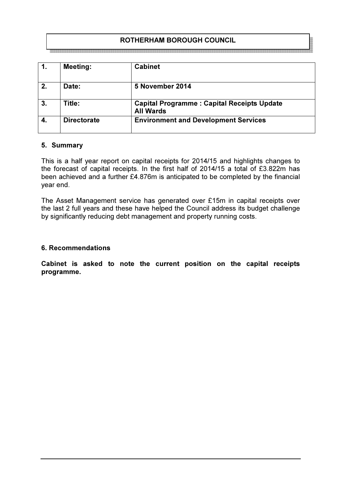# ROTHERHAM BOROUGH COUNCIL

|    | <b>Meeting:</b>    | <b>Cabinet</b>                                                        |
|----|--------------------|-----------------------------------------------------------------------|
| 2. | Date:              | 5 November 2014                                                       |
| 3. | Title:             | <b>Capital Programme: Capital Receipts Update</b><br><b>All Wards</b> |
| 4. | <b>Directorate</b> | <b>Environment and Development Services</b>                           |

#### 5. Summary

This is a half year report on capital receipts for 2014/15 and highlights changes to the forecast of capital receipts. In the first half of 2014/15 a total of £3.822m has been achieved and a further £4.876m is anticipated to be completed by the financial year end.

The Asset Management service has generated over £15m in capital receipts over the last 2 full years and these have helped the Council address its budget challenge by significantly reducing debt management and property running costs.

#### 6. Recommendations

Cabinet is asked to note the current position on the capital receipts programme.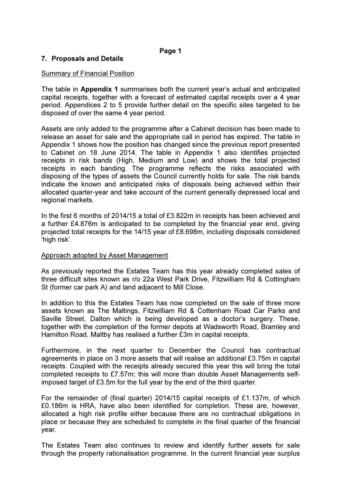### 7. Proposals and Details

### Summary of Financial Position

The table in Appendix 1 summarises both the current year's actual and anticipated capital receipts, together with a forecast of estimated capital receipts over a 4 year period. Appendices 2 to 5 provide further detail on the specific sites targeted to be disposed of over the same 4 year period.

Assets are only added to the programme after a Cabinet decision has been made to release an asset for sale and the appropriate call in period has expired. The table in Appendix 1 shows how the position has changed since the previous report presented to Cabinet on 18 June 2014. The table in Appendix 1 also identifies projected receipts in risk bands (High, Medium and Low) and shows the total projected receipts in each banding. The programme reflects the risks associated with disposing of the types of assets the Council currently holds for sale. The risk bands indicate the known and anticipated risks of disposals being achieved within their allocated quarter-year and take account of the current generally depressed local and regional markets.

In the first 6 months of 2014/15 a total of £3.822m in receipts has been achieved and a further £4.876m is anticipated to be completed by the financial year end, giving projected total receipts for the 14/15 year of £8.698m, including disposals considered 'high risk'.

### Approach adopted by Asset Management

As previously reported the Estates Team has this year already completed sales of three difficult sites known as r/o 22a West Park Drive, Fitzwilliam Rd & Cottingham St (former car park A) and land adjacent to Mill Close.

In addition to this the Estates Team has now completed on the sale of three more assets known as The Maltings, Fitzwilliam Rd & Cottenham Road Car Parks and Saville Street, Dalton which is being developed as a doctor's surgery. These, together with the completion of the former depots at Wadsworth Road, Bramley and Hamilton Road, Maltby has realised a further £3m in capital receipts.

Furthermore, in the next quarter to December the Council has contractual agreements in place on 3 more assets that will realise an additional £3.75m in capital receipts. Coupled with the receipts already secured this year this will bring the total completed receipts to £7.57m; this will more than double Asset Managements selfimposed target of £3.5m for the full year by the end of the third quarter.

For the remainder of (final quarter) 2014/15 capital receipts of £1.137m, of which £0.186m is HRA, have also been identified for completion. These are, however, allocated a high risk profile either because there are no contractual obligations in place or because they are scheduled to complete in the final quarter of the financial year.

The Estates Team also continues to review and identify further assets for sale through the property rationalisation programme. In the current financial year surplus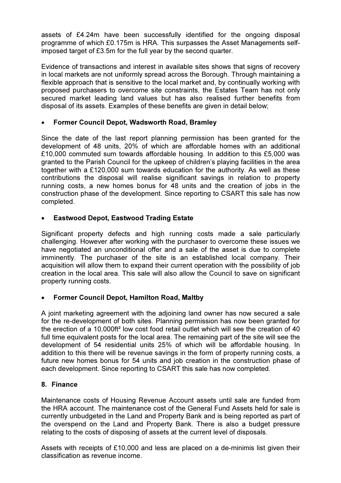assets of £4.24m have been successfully identified for the ongoing disposal programme of which £0.175m is HRA. This surpasses the Asset Managements selfimposed target of £3.5m for the full year by the second quarter.

Evidence of transactions and interest in available sites shows that signs of recovery in local markets are not uniformly spread across the Borough. Through maintaining a flexible approach that is sensitive to the local market and, by continually working with proposed purchasers to overcome site constraints, the Estates Team has not only secured market leading land values but has also realised further benefits from disposal of its assets. Examples of these benefits are given in detail below;

## • Former Council Depot, Wadsworth Road, Bramley

Since the date of the last report planning permission has been granted for the development of 48 units, 20% of which are affordable homes with an additional £10,000 commuted sum towards affordable housing. In addition to this £5,000 was granted to the Parish Council for the upkeep of children's playing facilities in the area together with a £120,000 sum towards education for the authority. As well as these contributions the disposal will realise significant savings in relation to property running costs, a new homes bonus for 48 units and the creation of jobs in the construction phase of the development. Since reporting to CSART this sale has now completed.

## • Eastwood Depot, Eastwood Trading Estate

Significant property defects and high running costs made a sale particularly challenging. However after working with the purchaser to overcome these issues we have negotiated an unconditional offer and a sale of the asset is due to complete imminently. The purchaser of the site is an established local company. Their acquisition will allow them to expand their current operation with the possibility of job creation in the local area. This sale will also allow the Council to save on significant property running costs.

## • Former Council Depot, Hamilton Road, Maltby

A joint marketing agreement with the adjoining land owner has now secured a sale for the re-development of both sites. Planning permission has now been granted for the erection of a 10,000ft² low cost food retail outlet which will see the creation of 40 full time equivalent posts for the local area. The remaining part of the site will see the development of 54 residential units 25% of which will be affordable housing. In addition to this there will be revenue savings in the form of property running costs, a future new homes bonus for 54 units and job creation in the construction phase of each development. Since reporting to CSART this sale has now completed.

## 8. Finance

Maintenance costs of Housing Revenue Account assets until sale are funded from the HRA account. The maintenance cost of the General Fund Assets held for sale is currently unbudgeted in the Land and Property Bank and is being reported as part of the overspend on the Land and Property Bank. There is also a budget pressure relating to the costs of disposing of assets at the current level of disposals.

Assets with receipts of £10,000 and less are placed on a de-minimis list given their classification as revenue income.